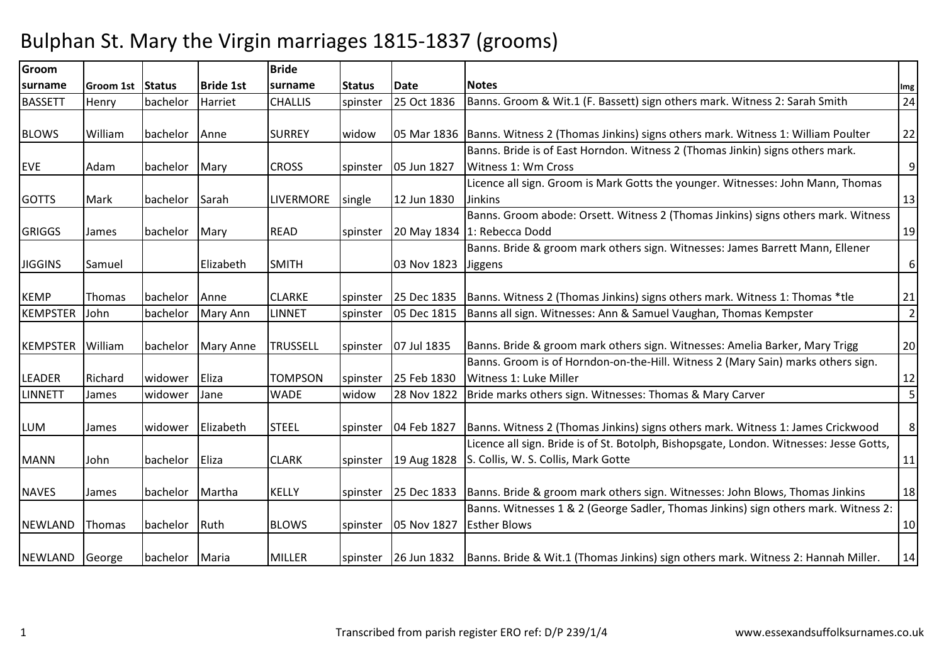## Bulphan St. Mary the Virgin marriages 1815-1837 (grooms)

| Groom           |                  |          |                  | <b>Bride</b>     |               |             |                                                                                                        |                  |
|-----------------|------------------|----------|------------------|------------------|---------------|-------------|--------------------------------------------------------------------------------------------------------|------------------|
| surname         | Groom 1st Status |          | <b>Bride 1st</b> | surname          | <b>Status</b> | <b>Date</b> | <b>Notes</b>                                                                                           | Img              |
| <b>BASSETT</b>  | Henry            | bachelor | Harriet          | <b>CHALLIS</b>   | spinster      | 25 Oct 1836 | Banns. Groom & Wit.1 (F. Bassett) sign others mark. Witness 2: Sarah Smith                             | 24               |
|                 |                  |          |                  |                  |               |             |                                                                                                        |                  |
| <b>BLOWS</b>    | William          | bachelor | Anne             | <b>SURREY</b>    | widow         |             | 05 Mar 1836   Banns. Witness 2 (Thomas Jinkins) signs others mark. Witness 1: William Poulter          | 22               |
|                 |                  |          |                  |                  |               |             | Banns. Bride is of East Horndon. Witness 2 (Thomas Jinkin) signs others mark.                          |                  |
| <b>EVE</b>      | Adam             | bachelor | Mary             | <b>CROSS</b>     | spinster      | 05 Jun 1827 | Witness 1: Wm Cross                                                                                    | $\boldsymbol{9}$ |
|                 |                  |          |                  |                  |               |             | Licence all sign. Groom is Mark Gotts the younger. Witnesses: John Mann, Thomas                        |                  |
| <b>GOTTS</b>    | Mark             | bachelor | Sarah            | <b>LIVERMORE</b> | single        | 12 Jun 1830 | <b>Jinkins</b>                                                                                         | 13               |
|                 |                  |          |                  |                  |               |             | Banns. Groom abode: Orsett. Witness 2 (Thomas Jinkins) signs others mark. Witness                      |                  |
| <b>GRIGGS</b>   | James            | bachelor | Mary             | <b>READ</b>      | spinster      |             | 20 May 1834 1: Rebecca Dodd                                                                            | 19               |
|                 |                  |          |                  |                  |               |             | Banns. Bride & groom mark others sign. Witnesses: James Barrett Mann, Ellener                          |                  |
| <b>JIGGINS</b>  | Samuel           |          | Elizabeth        | <b>SMITH</b>     |               | 03 Nov 1823 | Jiggens                                                                                                | $\boldsymbol{6}$ |
|                 |                  |          |                  |                  |               |             |                                                                                                        |                  |
| <b>KEMP</b>     | Thomas           | bachelor | Anne             | <b>CLARKE</b>    | spinster      | 25 Dec 1835 | Banns. Witness 2 (Thomas Jinkins) signs others mark. Witness 1: Thomas *tle                            | 21               |
| <b>KEMPSTER</b> | John             | bachelor | Mary Ann         | <b>LINNET</b>    | spinster      | 05 Dec 1815 | Banns all sign. Witnesses: Ann & Samuel Vaughan, Thomas Kempster                                       | $\mathbf 2$      |
|                 |                  |          |                  |                  |               |             |                                                                                                        |                  |
| <b>KEMPSTER</b> | William          | bachelor | Mary Anne        | TRUSSELL         | spinster      | 07 Jul 1835 | Banns. Bride & groom mark others sign. Witnesses: Amelia Barker, Mary Trigg                            | 20               |
|                 |                  |          |                  |                  |               |             | Banns. Groom is of Horndon-on-the-Hill. Witness 2 (Mary Sain) marks others sign.                       |                  |
| <b>LEADER</b>   | Richard          | widower  | Eliza            | <b>TOMPSON</b>   | spinster      | 25 Feb 1830 | Witness 1: Luke Miller                                                                                 | 12               |
| <b>LINNETT</b>  | James            | widower  | Jane             | <b>WADE</b>      | widow         | 28 Nov 1822 | Bride marks others sign. Witnesses: Thomas & Mary Carver                                               | 5                |
|                 |                  |          |                  |                  |               |             |                                                                                                        |                  |
| <b>LUM</b>      | James            | widower  | Elizabeth        | <b>STEEL</b>     | spinster      | 04 Feb 1827 | Banns. Witness 2 (Thomas Jinkins) signs others mark. Witness 1: James Crickwood                        | 8                |
|                 |                  |          |                  |                  |               |             | Licence all sign. Bride is of St. Botolph, Bishopsgate, London. Witnesses: Jesse Gotts,                |                  |
| <b>MANN</b>     | John             | bachelor | Eliza            | <b>CLARK</b>     | spinster      | 19 Aug 1828 | S. Collis, W. S. Collis, Mark Gotte                                                                    | 11               |
|                 |                  |          |                  |                  |               |             |                                                                                                        |                  |
| <b>NAVES</b>    | James            | bachelor | Martha           | <b>KELLY</b>     | spinster      |             | 25 Dec 1833 Banns. Bride & groom mark others sign. Witnesses: John Blows, Thomas Jinkins               | 18               |
|                 |                  |          |                  |                  |               |             | Banns. Witnesses 1 & 2 (George Sadler, Thomas Jinkins) sign others mark. Witness 2:                    |                  |
| <b>NEWLAND</b>  | Thomas           | bachelor | Ruth             | <b>BLOWS</b>     | spinster      | 05 Nov 1827 | <b>Esther Blows</b>                                                                                    | 10               |
|                 |                  |          |                  |                  |               |             |                                                                                                        |                  |
| <b>NEWLAND</b>  | George           | bachelor | Maria            | <b>MILLER</b>    |               |             | spinster 26 Jun 1832 Banns. Bride & Wit.1 (Thomas Jinkins) sign others mark. Witness 2: Hannah Miller. | 14               |